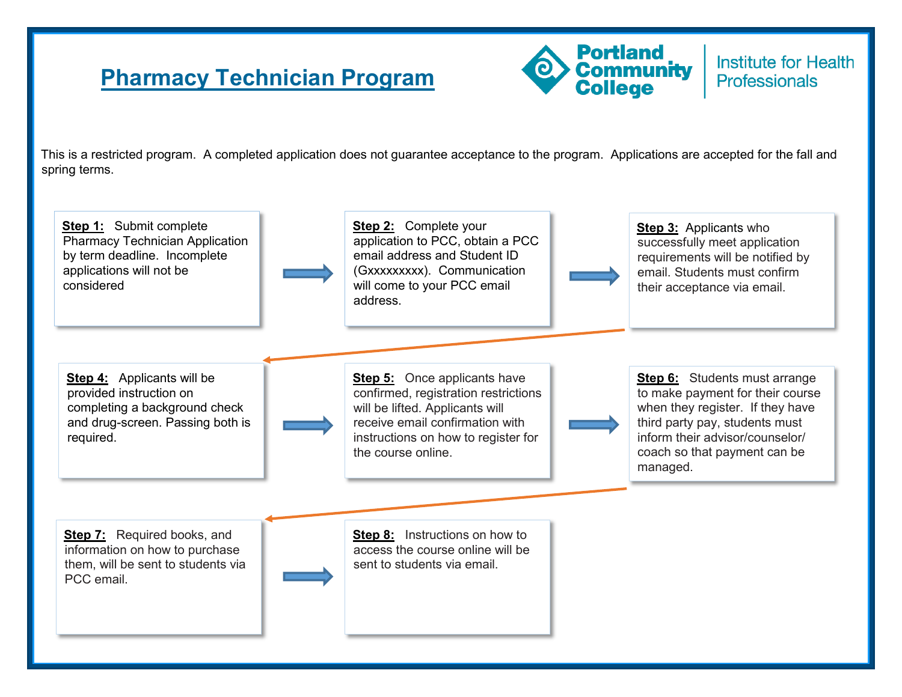## **Pharmacy Technician Program**



Institute for Health **Professionals** 

This is a restricted program. A completed application does not guarantee acceptance to the program. Applications are accepted for the fall and spring terms.